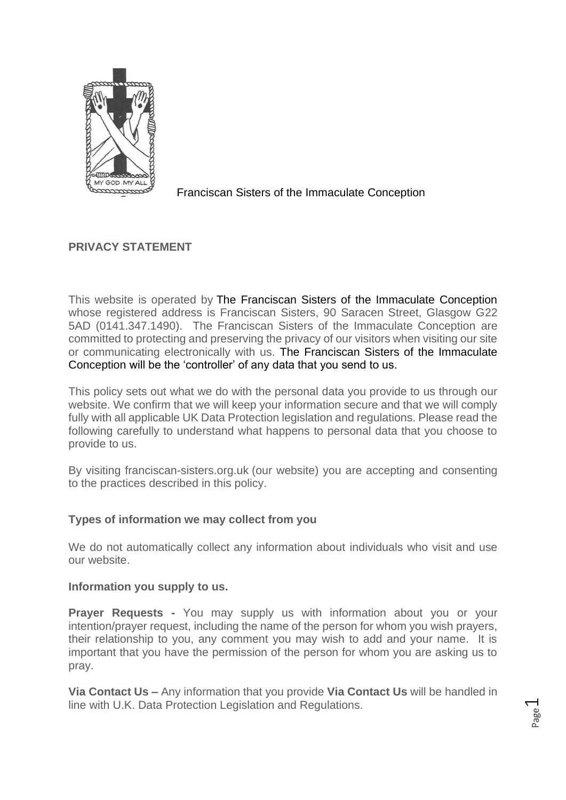

Franciscan Sisters of the Immaculate Conception

# **PRIVACY STATEMENT**

This website is operated by The Franciscan Sisters of the Immaculate Conception whose registered address is Franciscan Sisters, 90 Saracen Street, Glasgow G22 5AD (0141.347.1490). The Franciscan Sisters of the Immaculate Conception are committed to protecting and preserving the privacy of our visitors when visiting our site or communicating electronically with us. The Franciscan Sisters of the Immaculate Conception will be the 'controller' of any data that you send to us.

This policy sets out what we do with the personal data you provide to us through our website. We confirm that we will keep your information secure and that we will comply fully with all applicable UK Data Protection legislation and regulations. Please read the following carefully to understand what happens to personal data that you choose to provide to us.

By visiting franciscan-sisters.org.uk (our website) you are accepting and consenting to the practices described in this policy.

## **Types of information we may collect from you**

We do not automatically collect any information about individuals who visit and use our website.

### **Information you supply to us.**

**Prayer Requests -** You may supply us with information about you or your intention/prayer request, including the name of the person for whom you wish prayers, their relationship to you, any comment you may wish to add and your name. It is important that you have the permission of the person for whom you are asking us to pray.

**Via Contact Us –** Any information that you provide **Via Contact Us** will be handled in line with U.K. Data Protection Legislation and Regulations.